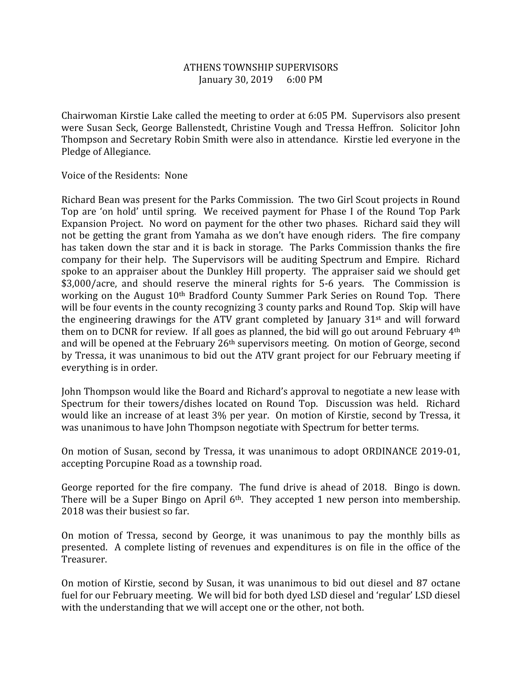## ATHENS TOWNSHIP SUPERVISORS January 30, 2019 6:00 PM

Chairwoman Kirstie Lake called the meeting to order at 6:05 PM. Supervisors also present were Susan Seck, George Ballenstedt, Christine Vough and Tressa Heffron. Solicitor John Thompson and Secretary Robin Smith were also in attendance. Kirstie led everyone in the Pledge of Allegiance.

Voice of the Residents: None

Richard Bean was present for the Parks Commission. The two Girl Scout projects in Round Top are 'on hold' until spring. We received payment for Phase I of the Round Top Park Expansion Project. No word on payment for the other two phases. Richard said they will not be getting the grant from Yamaha as we don't have enough riders. The fire company has taken down the star and it is back in storage. The Parks Commission thanks the fire company for their help. The Supervisors will be auditing Spectrum and Empire. Richard spoke to an appraiser about the Dunkley Hill property. The appraiser said we should get \$3,000/acre, and should reserve the mineral rights for 5-6 years. The Commission is working on the August 10<sup>th</sup> Bradford County Summer Park Series on Round Top. There will be four events in the county recognizing 3 county parks and Round Top. Skip will have the engineering drawings for the ATV grant completed by January 31st and will forward them on to DCNR for review. If all goes as planned, the bid will go out around February 4th and will be opened at the February 26<sup>th</sup> supervisors meeting. On motion of George, second by Tressa, it was unanimous to bid out the ATV grant project for our February meeting if everything is in order.

John Thompson would like the Board and Richard's approval to negotiate a new lease with Spectrum for their towers/dishes located on Round Top. Discussion was held. Richard would like an increase of at least 3% per year. On motion of Kirstie, second by Tressa, it was unanimous to have John Thompson negotiate with Spectrum for better terms.

On motion of Susan, second by Tressa, it was unanimous to adopt ORDINANCE 2019-01, accepting Porcupine Road as a township road.

George reported for the fire company. The fund drive is ahead of 2018. Bingo is down. There will be a Super Bingo on April 6<sup>th</sup>. They accepted 1 new person into membership. 2018 was their busiest so far.

On motion of Tressa, second by George, it was unanimous to pay the monthly bills as presented. A complete listing of revenues and expenditures is on file in the office of the Treasurer.

On motion of Kirstie, second by Susan, it was unanimous to bid out diesel and 87 octane fuel for our February meeting. We will bid for both dyed LSD diesel and 'regular' LSD diesel with the understanding that we will accept one or the other, not both.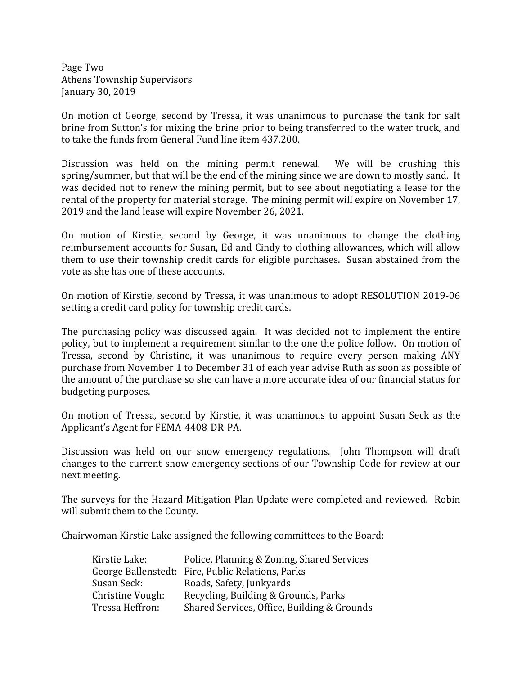Page Two Athens Township Supervisors January 30, 2019

On motion of George, second by Tressa, it was unanimous to purchase the tank for salt brine from Sutton's for mixing the brine prior to being transferred to the water truck, and to take the funds from General Fund line item 437.200.

Discussion was held on the mining permit renewal. We will be crushing this spring/summer, but that will be the end of the mining since we are down to mostly sand. It was decided not to renew the mining permit, but to see about negotiating a lease for the rental of the property for material storage. The mining permit will expire on November 17, 2019 and the land lease will expire November 26, 2021.

On motion of Kirstie, second by George, it was unanimous to change the clothing reimbursement accounts for Susan, Ed and Cindy to clothing allowances, which will allow them to use their township credit cards for eligible purchases. Susan abstained from the vote as she has one of these accounts.

On motion of Kirstie, second by Tressa, it was unanimous to adopt RESOLUTION 2019-06 setting a credit card policy for township credit cards.

The purchasing policy was discussed again. It was decided not to implement the entire policy, but to implement a requirement similar to the one the police follow. On motion of Tressa, second by Christine, it was unanimous to require every person making ANY purchase from November 1 to December 31 of each year advise Ruth as soon as possible of the amount of the purchase so she can have a more accurate idea of our financial status for budgeting purposes.

On motion of Tressa, second by Kirstie, it was unanimous to appoint Susan Seck as the Applicant's Agent for FEMA-4408-DR-PA.

Discussion was held on our snow emergency regulations. John Thompson will draft changes to the current snow emergency sections of our Township Code for review at our next meeting.

The surveys for the Hazard Mitigation Plan Update were completed and reviewed. Robin will submit them to the County.

Chairwoman Kirstie Lake assigned the following committees to the Board:

| Kirstie Lake:    | Police, Planning & Zoning, Shared Services        |
|------------------|---------------------------------------------------|
|                  | George Ballenstedt: Fire, Public Relations, Parks |
| Susan Seck:      | Roads, Safety, Junkyards                          |
| Christine Vough: | Recycling, Building & Grounds, Parks              |
| Tressa Heffron:  | Shared Services, Office, Building & Grounds       |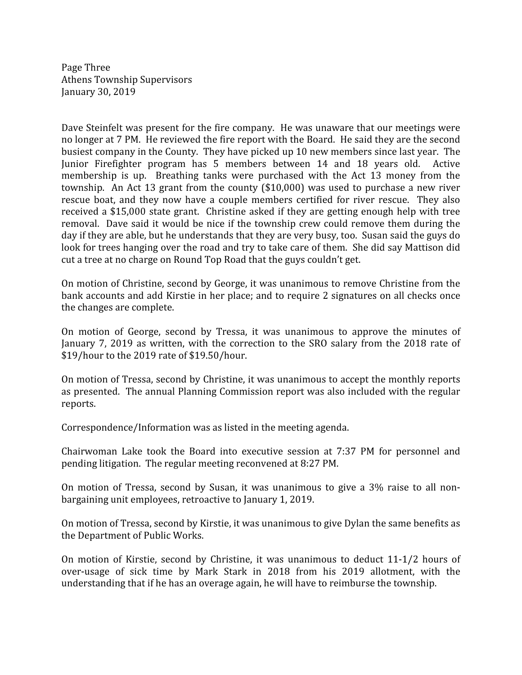Page Three Athens Township Supervisors January 30, 2019

Dave Steinfelt was present for the fire company. He was unaware that our meetings were no longer at 7 PM. He reviewed the fire report with the Board. He said they are the second busiest company in the County. They have picked up 10 new members since last year. The Junior Firefighter program has 5 members between 14 and 18 years old. Active membership is up. Breathing tanks were purchased with the Act 13 money from the township. An Act 13 grant from the county (\$10,000) was used to purchase a new river rescue boat, and they now have a couple members certified for river rescue. They also received a \$15,000 state grant. Christine asked if they are getting enough help with tree removal. Dave said it would be nice if the township crew could remove them during the day if they are able, but he understands that they are very busy, too. Susan said the guys do look for trees hanging over the road and try to take care of them. She did say Mattison did cut a tree at no charge on Round Top Road that the guys couldn't get.

On motion of Christine, second by George, it was unanimous to remove Christine from the bank accounts and add Kirstie in her place; and to require 2 signatures on all checks once the changes are complete.

On motion of George, second by Tressa, it was unanimous to approve the minutes of January 7, 2019 as written, with the correction to the SRO salary from the 2018 rate of \$19/hour to the 2019 rate of \$19.50/hour.

On motion of Tressa, second by Christine, it was unanimous to accept the monthly reports as presented. The annual Planning Commission report was also included with the regular reports.

Correspondence/Information was as listed in the meeting agenda.

Chairwoman Lake took the Board into executive session at 7:37 PM for personnel and pending litigation. The regular meeting reconvened at 8:27 PM.

On motion of Tressa, second by Susan, it was unanimous to give a 3% raise to all nonbargaining unit employees, retroactive to January 1, 2019.

On motion of Tressa, second by Kirstie, it was unanimous to give Dylan the same benefits as the Department of Public Works.

On motion of Kirstie, second by Christine, it was unanimous to deduct 11-1/2 hours of over-usage of sick time by Mark Stark in 2018 from his 2019 allotment, with the understanding that if he has an overage again, he will have to reimburse the township.